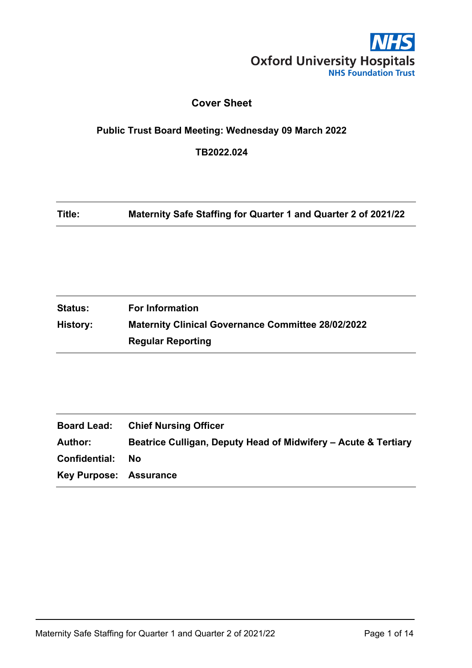

### **Cover Sheet**

# <span id="page-0-0"></span>**Public Trust Board Meeting: Wednesday 09 March 2022**

**TB2022.024**

**Title: Maternity Safe Staffing for Quarter 1 and Quarter 2 of 2021/22**

| <b>Status:</b> | <b>For Information</b>                                    |
|----------------|-----------------------------------------------------------|
| History:       | <b>Maternity Clinical Governance Committee 28/02/2022</b> |
|                | <b>Regular Reporting</b>                                  |

| <b>Board Lead:</b>            | <b>Chief Nursing Officer</b>                                   |
|-------------------------------|----------------------------------------------------------------|
| Author:                       | Beatrice Culligan, Deputy Head of Midwifery – Acute & Tertiary |
| <b>Confidential:</b>          | Nο                                                             |
| <b>Key Purpose: Assurance</b> |                                                                |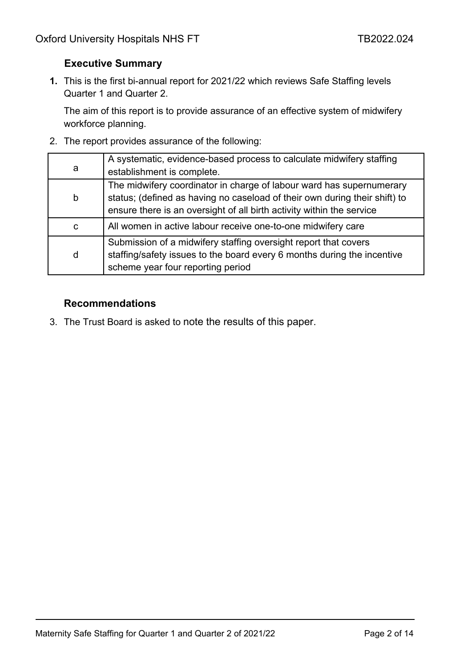### <span id="page-1-0"></span>**Executive Summary**

**1.** This is the first bi-annual report for 2021/22 which reviews Safe Staffing levels Quarter 1 and Quarter 2.

The aim of this report is to provide assurance of an effective system of midwifery workforce planning.

2. The report provides assurance of the following:

| a           | A systematic, evidence-based process to calculate midwifery staffing<br>establishment is complete.                                                                                                                          |
|-------------|-----------------------------------------------------------------------------------------------------------------------------------------------------------------------------------------------------------------------------|
| $\mathsf b$ | The midwifery coordinator in charge of labour ward has supernumerary<br>status; (defined as having no caseload of their own during their shift) to<br>ensure there is an oversight of all birth activity within the service |
| C           | All women in active labour receive one-to-one midwifery care                                                                                                                                                                |
| d           | Submission of a midwifery staffing oversight report that covers<br>staffing/safety issues to the board every 6 months during the incentive<br>scheme year four reporting period                                             |

#### **Recommendations**

3. The Trust Board is asked to note the results of this paper.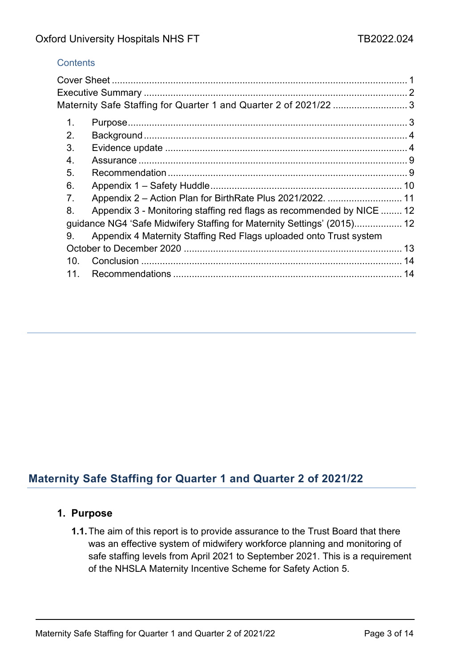#### **Contents**

| Maternity Safe Staffing for Quarter 1 and Quarter 2 of 2021/22 3        |                                                                                                                                     |
|-------------------------------------------------------------------------|-------------------------------------------------------------------------------------------------------------------------------------|
|                                                                         |                                                                                                                                     |
|                                                                         |                                                                                                                                     |
|                                                                         |                                                                                                                                     |
|                                                                         |                                                                                                                                     |
|                                                                         |                                                                                                                                     |
|                                                                         |                                                                                                                                     |
|                                                                         |                                                                                                                                     |
|                                                                         |                                                                                                                                     |
| guidance NG4 'Safe Midwifery Staffing for Maternity Settings' (2015) 12 |                                                                                                                                     |
| Appendix 4 Maternity Staffing Red Flags uploaded onto Trust system      |                                                                                                                                     |
|                                                                         |                                                                                                                                     |
|                                                                         |                                                                                                                                     |
|                                                                         | 14                                                                                                                                  |
|                                                                         | Appendix 2 - Action Plan for BirthRate Plus 2021/2022.  11<br>Appendix 3 - Monitoring staffing red flags as recommended by NICE  12 |

# <span id="page-2-0"></span>**Maternity Safe Staffing for Quarter 1 and Quarter 2 of 2021/22**

### <span id="page-2-1"></span>**1. Purpose**

**1.1.**The aim of this report is to provide assurance to the Trust Board that there was an effective system of midwifery workforce planning and monitoring of safe staffing levels from April 2021 to September 2021. This is a requirement of the NHSLA Maternity Incentive Scheme for Safety Action 5.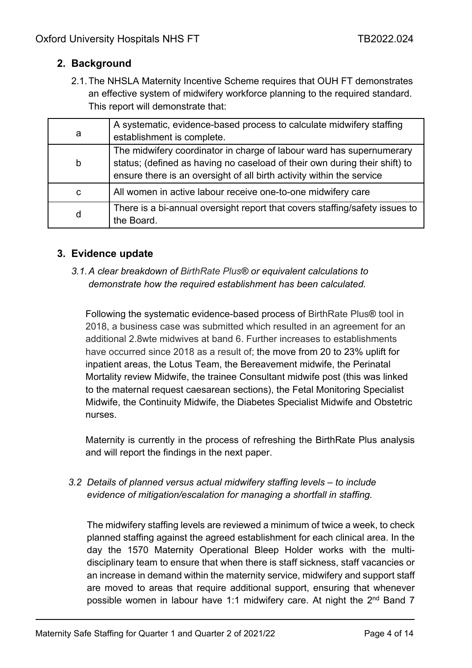### <span id="page-3-0"></span>**2. Background**

2.1.The NHSLA Maternity Incentive Scheme requires that OUH FT demonstrates an effective system of midwifery workforce planning to the required standard. This report will demonstrate that:

| a | A systematic, evidence-based process to calculate midwifery staffing<br>establishment is complete.                                                                                                                          |
|---|-----------------------------------------------------------------------------------------------------------------------------------------------------------------------------------------------------------------------------|
| b | The midwifery coordinator in charge of labour ward has supernumerary<br>status; (defined as having no caseload of their own during their shift) to<br>ensure there is an oversight of all birth activity within the service |
| C | All women in active labour receive one-to-one midwifery care                                                                                                                                                                |
| d | There is a bi-annual oversight report that covers staffing/safety issues to<br>the Board.                                                                                                                                   |

### <span id="page-3-1"></span>**3. Evidence update**

*3.1.A clear breakdown of BirthRate Plus® or equivalent calculations to demonstrate how the required establishment has been calculated.*

Following the systematic evidence-based process of BirthRate Plus® tool in 2018, a business case was submitted which resulted in an agreement for an additional 2.8wte midwives at band 6. Further increases to establishments have occurred since 2018 as a result of; the move from 20 to 23% uplift for inpatient areas, the Lotus Team, the Bereavement midwife, the Perinatal Mortality review Midwife, the trainee Consultant midwife post (this was linked to the maternal request caesarean sections), the Fetal Monitoring Specialist Midwife, the Continuity Midwife, the Diabetes Specialist Midwife and Obstetric nurses.

Maternity is currently in the process of refreshing the BirthRate Plus analysis and will report the findings in the next paper.

*3.2 Details of planned versus actual midwifery staffing levels – to include evidence of mitigation/escalation for managing a shortfall in staffing.*

The midwifery staffing levels are reviewed a minimum of twice a week, to check planned staffing against the agreed establishment for each clinical area. In the day the 1570 Maternity Operational Bleep Holder works with the multidisciplinary team to ensure that when there is staff sickness, staff vacancies or an increase in demand within the maternity service, midwifery and support staff are moved to areas that require additional support, ensuring that whenever possible women in labour have 1:1 midwifery care. At night the 2<sup>nd</sup> Band 7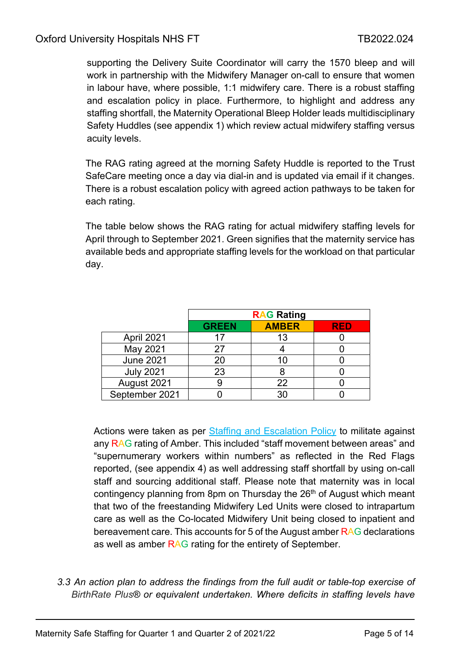supporting the Delivery Suite Coordinator will carry the 1570 bleep and will work in partnership with the Midwifery Manager on-call to ensure that women in labour have, where possible, 1:1 midwifery care. There is a robust staffing and escalation policy in place. Furthermore, to highlight and address any staffing shortfall, the Maternity Operational Bleep Holder leads multidisciplinary Safety Huddles (see appendix 1) which review actual midwifery staffing versus acuity levels.

The RAG rating agreed at the morning Safety Huddle is reported to the Trust SafeCare meeting once a day via dial-in and is updated via email if it changes. There is a robust escalation policy with agreed action pathways to be taken for each rating.

The table below shows the RAG rating for actual midwifery staffing levels for April through to September 2021. Green signifies that the maternity service has available beds and appropriate staffing levels for the workload on that particular day.

|                  |              | <b>RAG Rating</b> |  |  |  |  |
|------------------|--------------|-------------------|--|--|--|--|
|                  | <b>GREEN</b> | RED               |  |  |  |  |
| April 2021       |              | 13                |  |  |  |  |
| May 2021         | 27           |                   |  |  |  |  |
| <b>June 2021</b> | 20           | 10                |  |  |  |  |
| <b>July 2021</b> | 23           |                   |  |  |  |  |
| August 2021      |              | 22                |  |  |  |  |
| September 2021   |              | $30^{\circ}$      |  |  |  |  |

Actions were taken as per [Staffing and Escalation Policy](http://ouh.oxnet.nhs.uk/Maternity/Lists/Maternity%20Guidelines/GuidelineDispForm.aspx?List=a599f0e6%2Da2ea%2D4377%2D9dac%2Dd0f96fde4e0c&ID=63&RootFolder=%2FMaternity%2FLists%2FMaternity%20Guidelines) to militate against any RAG rating of Amber. This included "staff movement between areas" and "supernumerary workers within numbers" as reflected in the Red Flags reported, (see appendix 4) as well addressing staff shortfall by using on-call staff and sourcing additional staff. Please note that maternity was in local contingency planning from 8pm on Thursday the 26<sup>th</sup> of August which meant that two of the freestanding Midwifery Led Units were closed to intrapartum care as well as the Co-located Midwifery Unit being closed to inpatient and bereavement care. This accounts for 5 of the August amber RAG declarations as well as amber RAG rating for the entirety of September.

*3.3 An action plan to address the findings from the full audit or table-top exercise of BirthRate Plus® or equivalent undertaken. Where deficits in staffing levels have*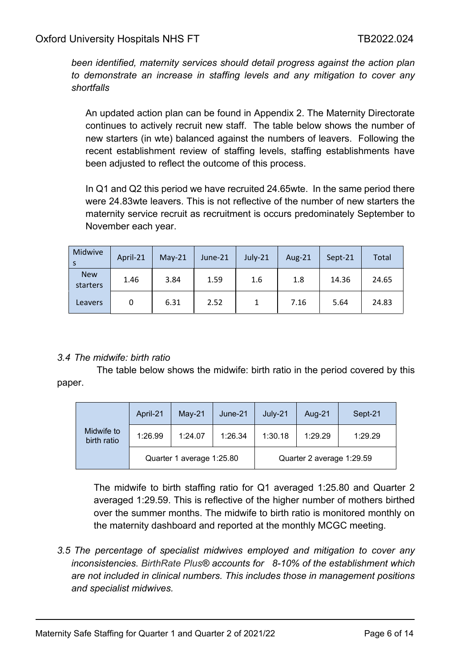*been identified, maternity services should detail progress against the action plan to demonstrate an increase in staffing levels and any mitigation to cover any shortfalls*

An updated action plan can be found in Appendix 2. The Maternity Directorate continues to actively recruit new staff. The table below shows the number of new starters (in wte) balanced against the numbers of leavers. Following the recent establishment review of staffing levels, staffing establishments have been adjusted to reflect the outcome of this process.

In Q1 and Q2 this period we have recruited 24.65wte. In the same period there were 24.83wte leavers. This is not reflective of the number of new starters the maternity service recruit as recruitment is occurs predominately September to November each year.

| Midwive                | April-21 | $May-21$ | June-21 | July-21 | Aug- $21$ | Sept-21 | Total |
|------------------------|----------|----------|---------|---------|-----------|---------|-------|
| <b>New</b><br>starters | 1.46     | 3.84     | 1.59    | 1.6     | 1.8       | 14.36   | 24.65 |
| Leavers                | 0        | 6.31     | 2.52    |         | 7.16      | 5.64    | 24.83 |

#### *3.4 The midwife: birth ratio*

 The table below shows the midwife: birth ratio in the period covered by this paper.

|                           | April-21                  | May-21  | June-21 | $July-21$ | Aug-21                    | Sept-21 |
|---------------------------|---------------------------|---------|---------|-----------|---------------------------|---------|
| Midwife to<br>birth ratio | 1:26.99                   | 1:24.07 | 1:26.34 | 1:30.18   | 1:29.29                   | 1:29.29 |
|                           | Quarter 1 average 1:25.80 |         |         |           | Quarter 2 average 1:29.59 |         |

The midwife to birth staffing ratio for Q1 averaged 1:25.80 and Quarter 2 averaged 1:29.59. This is reflective of the higher number of mothers birthed over the summer months. The midwife to birth ratio is monitored monthly on the maternity dashboard and reported at the monthly MCGC meeting.

*3.5 The percentage of specialist midwives employed and mitigation to cover any inconsistencies. BirthRate Plus® accounts for 8-10% of the establishment which are not included in clinical numbers. This includes those in management positions and specialist midwives.*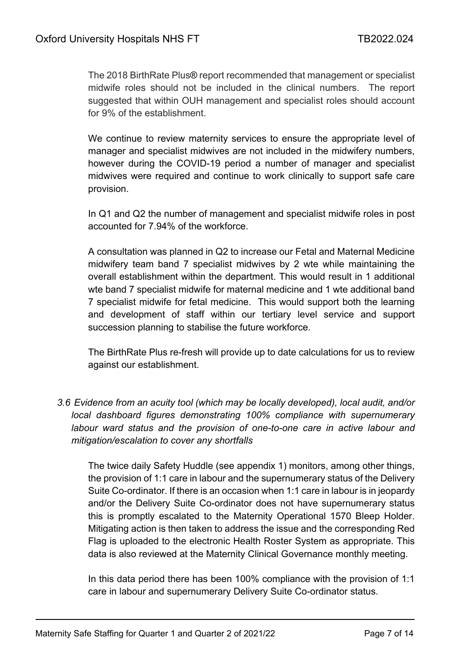The 2018 BirthRate Plus® report recommended that management or specialist midwife roles should not be included in the clinical numbers. The report suggested that within OUH management and specialist roles should account for 9% of the establishment.

We continue to review maternity services to ensure the appropriate level of manager and specialist midwives are not included in the midwifery numbers, however during the COVID-19 period a number of manager and specialist midwives were required and continue to work clinically to support safe care provision.

In Q1 and Q2 the number of management and specialist midwife roles in post accounted for 7.94% of the workforce.

A consultation was planned in Q2 to increase our Fetal and Maternal Medicine midwifery team band 7 specialist midwives by 2 wte while maintaining the overall establishment within the department. This would result in 1 additional wte band 7 specialist midwife for maternal medicine and 1 wte additional band 7 specialist midwife for fetal medicine. This would support both the learning and development of staff within our tertiary level service and support succession planning to stabilise the future workforce.

The BirthRate Plus re-fresh will provide up to date calculations for us to review against our establishment.

*3.6 Evidence from an acuity tool (which may be locally developed), local audit, and/or local dashboard figures demonstrating 100% compliance with supernumerary labour ward status and the provision of one-to-one care in active labour and mitigation/escalation to cover any shortfalls*

The twice daily Safety Huddle (see appendix 1) monitors, among other things, the provision of 1:1 care in labour and the supernumerary status of the Delivery Suite Co-ordinator. If there is an occasion when 1:1 care in labour is in jeopardy and/or the Delivery Suite Co-ordinator does not have supernumerary status this is promptly escalated to the Maternity Operational 1570 Bleep Holder. Mitigating action is then taken to address the issue and the corresponding Red Flag is uploaded to the electronic Health Roster System as appropriate. This data is also reviewed at the Maternity Clinical Governance monthly meeting.

In this data period there has been 100% compliance with the provision of 1:1 care in labour and supernumerary Delivery Suite Co-ordinator status.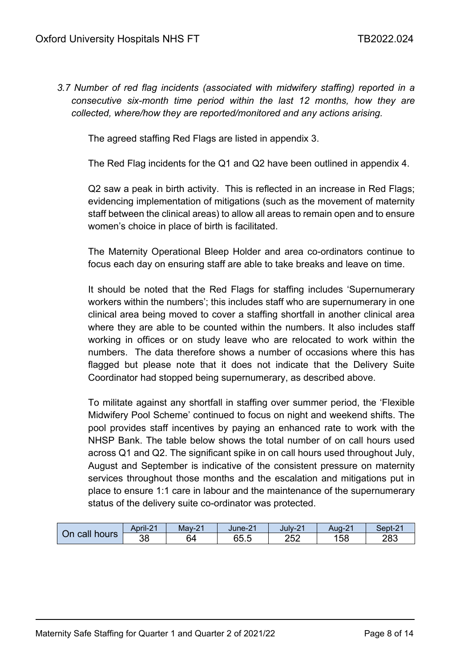*3.7 Number of red flag incidents (associated with midwifery staffing) reported in a consecutive six-month time period within the last 12 months, how they are collected, where/how they are reported/monitored and any actions arising.*

The agreed staffing Red Flags are listed in appendix 3.

The Red Flag incidents for the Q1 and Q2 have been outlined in appendix 4.

Q2 saw a peak in birth activity. This is reflected in an increase in Red Flags; evidencing implementation of mitigations (such as the movement of maternity staff between the clinical areas) to allow all areas to remain open and to ensure women's choice in place of birth is facilitated.

The Maternity Operational Bleep Holder and area co-ordinators continue to focus each day on ensuring staff are able to take breaks and leave on time.

It should be noted that the Red Flags for staffing includes 'Supernumerary workers within the numbers'; this includes staff who are supernumerary in one clinical area being moved to cover a staffing shortfall in another clinical area where they are able to be counted within the numbers. It also includes staff working in offices or on study leave who are relocated to work within the numbers. The data therefore shows a number of occasions where this has flagged but please note that it does not indicate that the Delivery Suite Coordinator had stopped being supernumerary, as described above.

To militate against any shortfall in staffing over summer period, the 'Flexible Midwifery Pool Scheme' continued to focus on night and weekend shifts. The pool provides staff incentives by paying an enhanced rate to work with the NHSP Bank. The table below shows the total number of on call hours used across Q1 and Q2. The significant spike in on call hours used throughout July, August and September is indicative of the consistent pressure on maternity services throughout those months and the escalation and mitigations put in place to ensure 1:1 care in labour and the maintenance of the supernumerary status of the delivery suite co-ordinator was protected.

| call<br>On<br>hours | April-21 | Mav-21  | $\sim$<br>June-2 | $\sim$<br>$July-2$ | $\Omega$<br>Aug-z | Sept-21 |
|---------------------|----------|---------|------------------|--------------------|-------------------|---------|
|                     | 38       | ົ<br>64 | ~~<br>65.5       | 252                | 58                | 283     |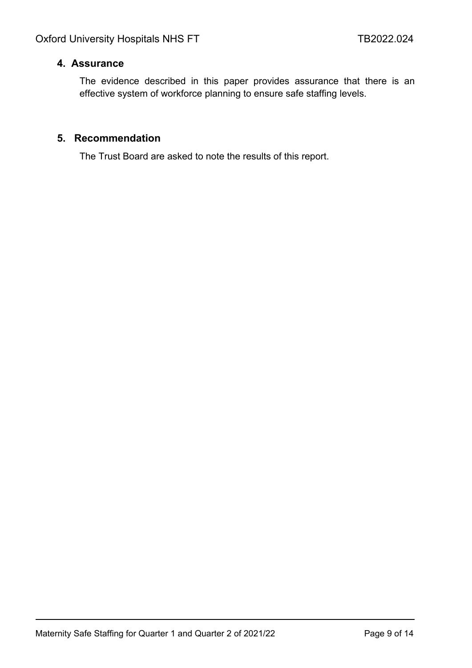#### <span id="page-8-0"></span>**4. Assurance**

The evidence described in this paper provides assurance that there is an effective system of workforce planning to ensure safe staffing levels.

#### <span id="page-8-1"></span>**5. Recommendation**

The Trust Board are asked to note the results of this report.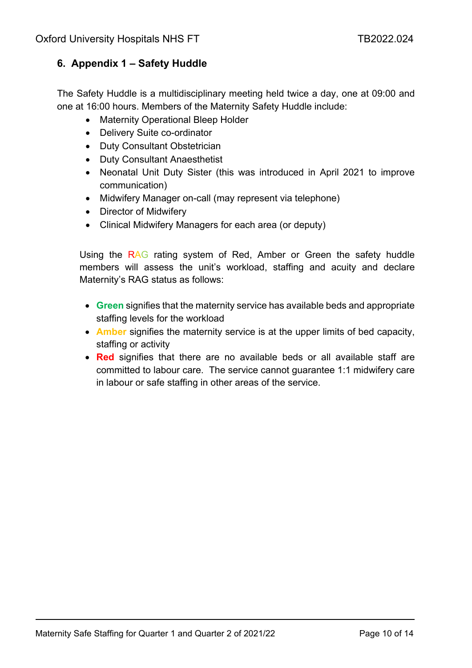### <span id="page-9-0"></span>**6. Appendix 1 – Safety Huddle**

The Safety Huddle is a multidisciplinary meeting held twice a day, one at 09:00 and one at 16:00 hours. Members of the Maternity Safety Huddle include:

- Maternity Operational Bleep Holder
- Delivery Suite co-ordinator
- Duty Consultant Obstetrician
- Duty Consultant Anaesthetist
- Neonatal Unit Duty Sister (this was introduced in April 2021 to improve communication)
- Midwifery Manager on-call (may represent via telephone)
- Director of Midwifery
- Clinical Midwifery Managers for each area (or deputy)

Using the RAG rating system of Red, Amber or Green the safety huddle members will assess the unit's workload, staffing and acuity and declare Maternity's RAG status as follows:

- **Green** signifies that the maternity service has available beds and appropriate staffing levels for the workload
- **Amber** signifies the maternity service is at the upper limits of bed capacity, staffing or activity
- **Red** signifies that there are no available beds or all available staff are committed to labour care. The service cannot guarantee 1:1 midwifery care in labour or safe staffing in other areas of the service.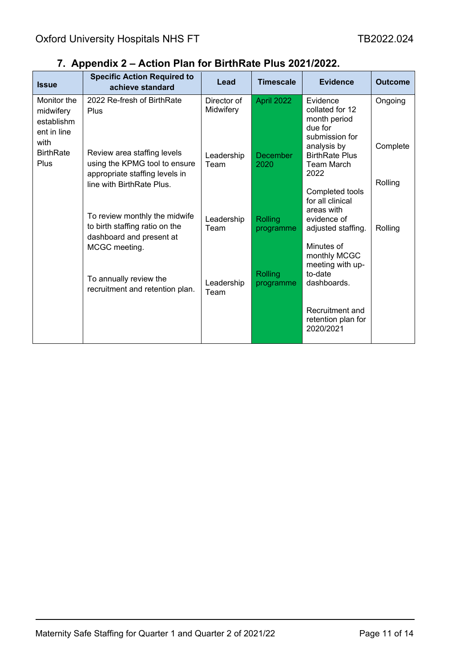| <b>Issue</b>                                                  | <b>Specific Action Required to</b><br>achieve standard                                                                                                                                                                                                                                                   | Lead                     | <b>Timescale</b>     | <b>Evidence</b>                                                                         | <b>Outcome</b>      |
|---------------------------------------------------------------|----------------------------------------------------------------------------------------------------------------------------------------------------------------------------------------------------------------------------------------------------------------------------------------------------------|--------------------------|----------------------|-----------------------------------------------------------------------------------------|---------------------|
| Monitor the<br>midwifery<br>establishm<br>ent in line<br>with | 2022 Re-fresh of BirthRate<br>Plus                                                                                                                                                                                                                                                                       | Director of<br>Midwifery | April 2022           | Evidence<br>collated for 12<br>month period<br>due for<br>submission for<br>analysis by | Ongoing<br>Complete |
| <b>BirthRate</b><br>Plus                                      | Review area staffing levels<br>using the KPMG tool to ensure<br>appropriate staffing levels in<br>line with BirthRate Plus.<br>To review monthly the midwife<br>to birth staffing ratio on the<br>dashboard and present at<br>MCGC meeting.<br>To annually review the<br>recruitment and retention plan. | Leadership<br>Team       | December<br>2020     | <b>BirthRate Plus</b><br><b>Team March</b><br>2022                                      | Rolling             |
|                                                               |                                                                                                                                                                                                                                                                                                          | Leadership<br>Team       | Rolling<br>programme | Completed tools<br>for all clinical<br>areas with<br>evidence of<br>adjusted staffing.  | Rolling             |
|                                                               |                                                                                                                                                                                                                                                                                                          | Leadership<br>Team       | Rolling<br>programme | Minutes of<br>monthly MCGC<br>meeting with up-<br>to-date<br>dashboards.                |                     |
|                                                               |                                                                                                                                                                                                                                                                                                          |                          |                      | Recruitment and<br>retention plan for<br>2020/2021                                      |                     |

# <span id="page-10-0"></span>**7. Appendix 2 – Action Plan for BirthRate Plus 2021/2022.**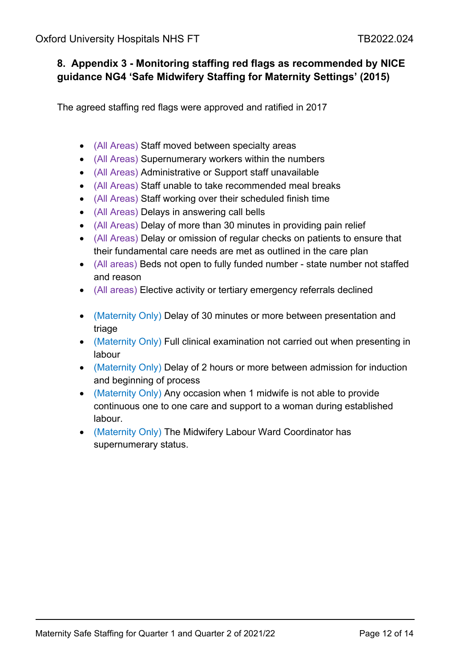### <span id="page-11-1"></span><span id="page-11-0"></span>**8. Appendix 3 - Monitoring staffing red flags as recommended by NICE guidance NG4 'Safe Midwifery Staffing for Maternity Settings' (2015)**

The agreed staffing red flags were approved and ratified in 2017

- (All Areas) Staff moved between specialty areas
- (All Areas) Supernumerary workers within the numbers
- (All Areas) Administrative or Support staff unavailable
- (All Areas) Staff unable to take recommended meal breaks
- (All Areas) Staff working over their scheduled finish time
- (All Areas) Delays in answering call bells
- (All Areas) Delay of more than 30 minutes in providing pain relief
- (All Areas) Delay or omission of regular checks on patients to ensure that their fundamental care needs are met as outlined in the care plan
- (All areas) Beds not open to fully funded number state number not staffed and reason
- (All areas) Elective activity or tertiary emergency referrals declined
- (Maternity Only) Delay of 30 minutes or more between presentation and triage
- (Maternity Only) Full clinical examination not carried out when presenting in labour
- (Maternity Only) Delay of 2 hours or more between admission for induction and beginning of process
- (Maternity Only) Any occasion when 1 midwife is not able to provide continuous one to one care and support to a woman during established labour.
- (Maternity Only) The Midwifery Labour Ward Coordinator has supernumerary status.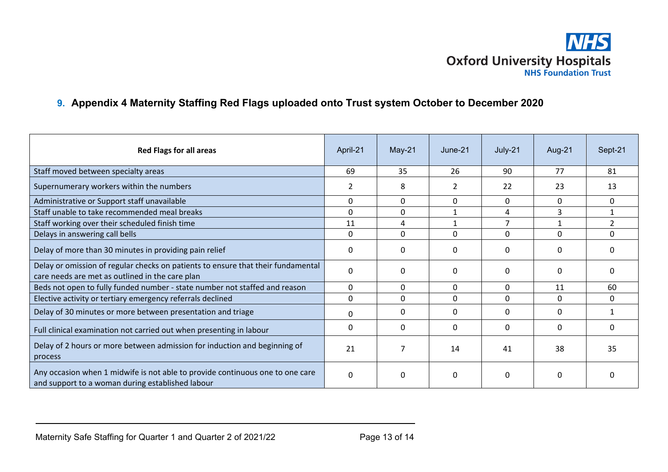

### **9. Appendix 4 Maternity Staffing Red Flags uploaded onto Trust system October to December 2020**

<span id="page-12-0"></span>

| <b>Red Flags for all areas</b>                                                                                                      | April-21     | $May-21$     | June-21        | July-21        | Aug-21   | Sept-21        |
|-------------------------------------------------------------------------------------------------------------------------------------|--------------|--------------|----------------|----------------|----------|----------------|
| Staff moved between specialty areas                                                                                                 | 69           | 35           | 26             | 90             | 77       | 81             |
| Supernumerary workers within the numbers                                                                                            | 2            | 8            | $\overline{2}$ | 22             | 23       | 13             |
| Administrative or Support staff unavailable                                                                                         | 0            | $\mathbf{0}$ | 0              | $\mathbf{0}$   | $\Omega$ | 0              |
| Staff unable to take recommended meal breaks                                                                                        | $\Omega$     | $\Omega$     |                | 4              | 3        | $\mathbf{1}$   |
| Staff working over their scheduled finish time                                                                                      | 11           | 4            | 1              | $\overline{7}$ |          | $\overline{2}$ |
| Delays in answering call bells                                                                                                      | 0            | $\mathbf{0}$ | 0              | 0              | 0        | 0              |
| Delay of more than 30 minutes in providing pain relief                                                                              | 0            | $\Omega$     | $\Omega$       | $\Omega$       | O        | $\Omega$       |
| Delay or omission of regular checks on patients to ensure that their fundamental<br>care needs are met as outlined in the care plan | $\mathbf 0$  | ∩            | $\Omega$       | $\Omega$       | 0        | O              |
| Beds not open to fully funded number - state number not staffed and reason                                                          | 0            | $\Omega$     | 0              | 0              | 11       | 60             |
| Elective activity or tertiary emergency referrals declined                                                                          | $\Omega$     | $\Omega$     | 0              | $\Omega$       | 0        | 0              |
| Delay of 30 minutes or more between presentation and triage                                                                         | $\Omega$     | $\Omega$     | $\Omega$       | $\Omega$       | 0        |                |
| Full clinical examination not carried out when presenting in labour                                                                 | $\mathbf{0}$ | $\Omega$     | 0              | $\Omega$       | $\Omega$ | $\Omega$       |
| Delay of 2 hours or more between admission for induction and beginning of<br>process                                                | 21           |              | 14             | 41             | 38       | 35             |
| Any occasion when 1 midwife is not able to provide continuous one to one care<br>and support to a woman during established labour   | $\mathbf 0$  | $\Omega$     | 0              | $\Omega$       | 0        | n              |